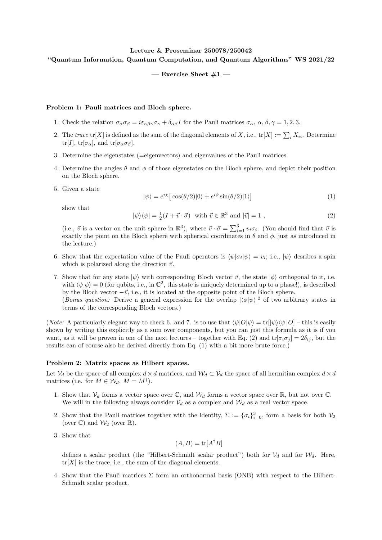## Lecture & Proseminar 250078/250042 "Quantum Information, Quantum Computation, and Quantum Algorithms" WS 2021/22

— Exercise Sheet  $#1$  —

## Problem 1: Pauli matrices and Bloch sphere.

- 1. Check the relation  $\sigma_{\alpha}\sigma_{\beta} = i\varepsilon_{\alpha\beta\gamma}\sigma_{\gamma} + \delta_{\alpha\beta}I$  for the Pauli matrices  $\sigma_{\alpha}$ ,  $\alpha, \beta, \gamma = 1, 2, 3$ .
- 2. The trace  $\text{tr}[X]$  is defined as the sum of the diagonal elements of X, i.e.,  $\text{tr}[X] := \sum_i X_{ii}$ . Determine tr[I], tr[ $\sigma_{\alpha}$ ], and tr[ $\sigma_{\alpha}\sigma_{\beta}$ ].
- 3. Determine the eigenstates (=eigenvectors) and eigenvalues of the Pauli matrices.
- 4. Determine the angles  $\theta$  and  $\phi$  of those eigenstates on the Bloch sphere, and depict their position on the Bloch sphere.
- 5. Given a state

$$
|\psi\rangle = e^{i\chi} \left[ \cos(\theta/2) |0\rangle + e^{i\phi} \sin(\theta/2) |1\rangle \right] \tag{1}
$$

show that

$$
|\psi\rangle\langle\psi| = \frac{1}{2}(I + \vec{v} \cdot \vec{\sigma}) \quad \text{with } \vec{v} \in \mathbb{R}^3 \text{ and } |\vec{v}| = 1 ,
$$
 (2)

(i.e.,  $\vec{v}$  is a vector on the unit sphere in  $\mathbb{R}^3$ ), where  $\vec{v} \cdot \vec{\sigma} = \sum_{i=1}^3 v_i \sigma_i$ . (You should find that  $\vec{v}$  is exactly the point on the Bloch sphere with spherical coordinates in  $\theta$  and  $\phi$ , just as introduced in the lecture.)

- 6. Show that the expectation value of the Pauli operators is  $\langle \psi | \sigma_i | \psi \rangle = v_i$ ; i.e.,  $| \psi \rangle$  desribes a spin which is polarized along the direction  $\vec{v}$ .
- 7. Show that for any state  $|\psi\rangle$  with corresponding Bloch vector  $\vec{v}$ , the state  $|\phi\rangle$  orthogonal to it, i.e. with  $\langle \psi | \phi \rangle = 0$  (for qubits, i.e., in  $\mathbb{C}^2$ , this state is uniquely determined up to a phase!), is described by the Bloch vector  $-\vec{v}$ , i.e., it is located at the opposite point of the Bloch sphere.

(Bonus question: Derive a general expression for the overlap  $|\langle \phi | \psi \rangle|^2$  of two arbitrary states in terms of the corresponding Bloch vectors.)

(Note: A particularly elegant way to check 6. and 7. is to use that  $\langle \psi | O | \psi \rangle = \text{tr}[|\psi \rangle \langle \psi | O] -$  this is easily shown by writing this explicitly as a sum over components, but you can just this formula as it is if you want, as it will be proven in one of the next lectures – together with Eq. (2) and  $tr[\sigma_i \sigma_j] = 2\delta_{ij}$ , but the results can of course also be derived directly from Eq. (1) with a bit more brute force.)

## Problem 2: Matrix spaces as Hilbert spaces.

Let  $V_d$  be the space of all complex  $d \times d$  matrices, and  $W_d \subset V_d$  the space of all hermitian complex  $d \times d$ matrices (i.e. for  $M \in \mathcal{W}_d$ ,  $M = M^{\dagger}$ ).

- 1. Show that  $V_d$  forms a vector space over  $\mathbb{C}$ , and  $\mathcal{W}_d$  forms a vector space over  $\mathbb{R}$ , but not over  $\mathbb{C}$ . We will in the following always consider  $V_d$  as a complex and  $W_d$  as a real vector space.
- 2. Show that the Pauli matrices together with the identity,  $\Sigma := {\{\sigma_i\}}_{i=0}^3$ , form a basis for both  $V_2$ (over  $\mathbb{C}$ ) and  $\mathcal{W}_2$  (over  $\mathbb{R}$ ).
- 3. Show that

$$
(A, B) = \text{tr}[A^{\dagger}B]
$$

defines a scalar product (the "Hilbert-Schmidt scalar product") both for  $V_d$  and for  $W_d$ . Here,  $tr[X]$  is the trace, i.e., the sum of the diagonal elements.

4. Show that the Pauli matrices Σ form an orthonormal basis (ONB) with respect to the Hilbert-Schmidt scalar product.